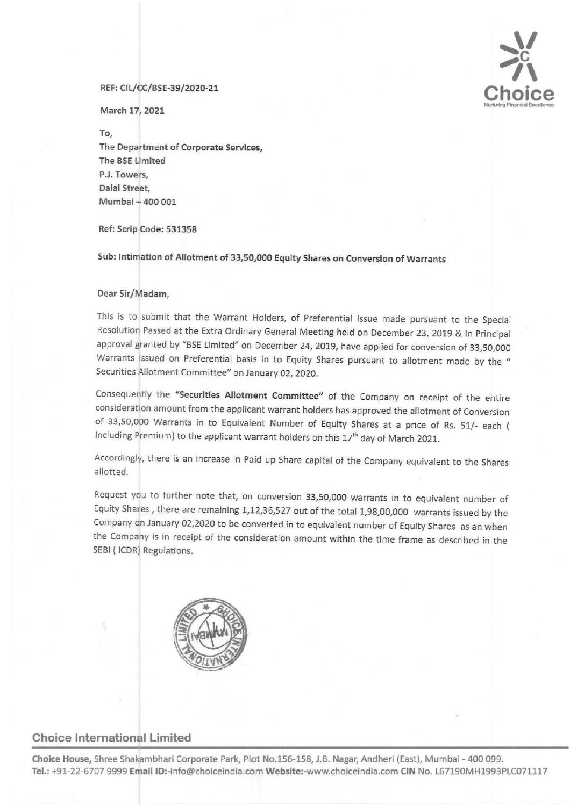# $\sum_{i=1}^{N}$ **Choice**  Nurturing Financial Excellence

#### REF: Cll/CC/BSE-39/2020-21

March 17, 2021

To,

The Department of Corporate Services, The BSE Umited P.J. Towers, Dalal Street, Mumbai - 400 001

Ref: Scrip Code: 531358

Sub: Intimation of Allotment of 33,50,000 Equity Shares on Conversion of Warrants

### Dear Sir/Madam,

This is to submit that the Warrant Holders, of Preferential Issue made pursuant to the Special Resolution Passed at the Extra Ordinary General Meeting held on December 23, 2019 & In Principal approval granted by "BSE limited" on December 24, 2019, have applied for conversion of 33,50,000 Warrants issued on Preferential basis in to Equity Shares pursuant to allotment made by the " Securities Allotment Committee" on January 02, 2020.

Consequently the "Securities Allotment Committee" of the Company on receipt of the entire consideration amount from the applicant warrant holders has approved the allotment of Conversion of 33,50,000 Warrants in to Equivalent Number of Equity Shares at a price of Rs. 51/- each ( Including Premium) to the applicant warrant holders on this 17<sup>th</sup> day of March 2021.

Accordingly, there is an increase in Paid up Share capital of the Company equivalent to the Shares allotted.

Request you to further note that, on conversion 33,50,000 warrants in to equivalent number of Equity Shares , there are remaining 1,12,36,527 out of the total 1,98,00,000 warrants issued by the Company on January 02,2020 to be converted in to equivalent number of Equity Shares as an when the Company is in receipt of the consideration amount within the time frame as described in the SEBI ( ICDR) Regulations.



## Choice International Limited

Choice House, Shree Shakambhari Corporate Park, Plot No.156-158, J.B. Nagar, Andheri (East), Mumbai- 400 099. Tel.: +91-22-6707 9999 Email ID:-info@choiceindia.com Website:-www.choiceindia.com CIN No. L67190MH1993PLC071117